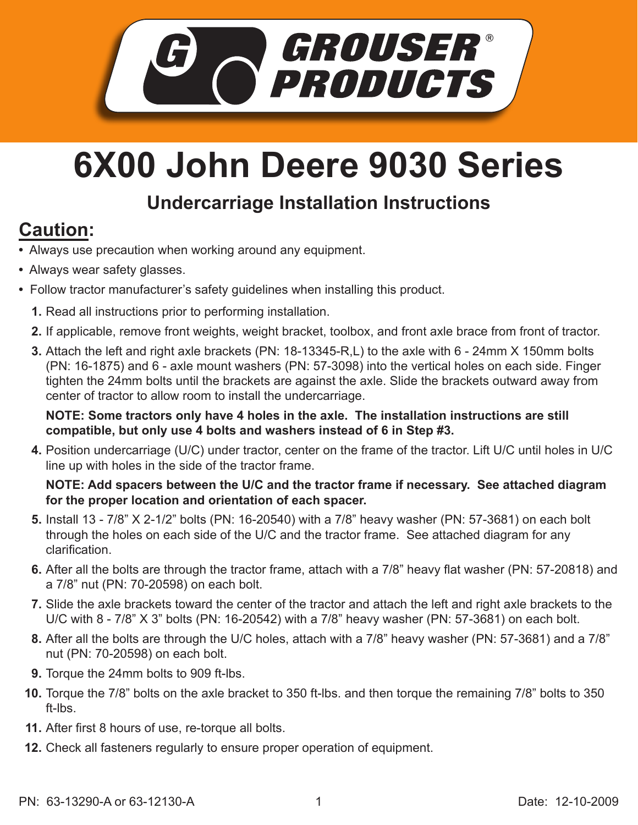

## **6X00 John Deere 9030 Series**

## **Undercarriage Installation Instructions**

## **Caution:**

- Always use precaution when working around any equipment.
- Always wear safety glasses.
- Follow tractor manufacturer's safety guidelines when installing this product.
	- **1.** Read all instructions prior to performing installation.
	- **2.** If applicable, remove front weights, weight bracket, toolbox, and front axle brace from front of tractor.
	- Attach the left and right axle brackets (PN: 18-13345-R,L) to the axle with 6 24mm X 150mm bolts **3.** (PN: 16-1875) and 6 - axle mount washers (PN: 57-3098) into the vertical holes on each side. Finger tighten the 24mm bolts until the brackets are against the axle. Slide the brackets outward away from center of tractor to allow room to install the undercarriage.

**NOTE: Some tractors only have 4 holes in the axle. The installation instructions are still compatible, but only use 4 bolts and washers instead of 6 in Step #3.**

Position undercarriage (U/C) under tractor, center on the frame of the tractor. Lift U/C until holes in U/C **4.** line up with holes in the side of the tractor frame.

## **NOTE: Add spacers between the U/C and the tractor frame if necessary. See attached diagram for the proper location and orientation of each spacer.**

- **5.** Install 13 7/8" X 2-1/2" bolts (PN: 16-20540) with a 7/8" heavy washer (PN: 57-3681) on each bolt through the holes on each side of the U/C and the tractor frame. See attached diagram for any clarification.
- **6.** After all the bolts are through the tractor frame, attach with a 7/8" heavy flat washer (PN: 57-20818) and a 7/8" nut (PN: 70-20598) on each bolt.
- Slide the axle brackets toward the center of the tractor and attach the left and right axle brackets to the **7.** U/C with 8 - 7/8" X 3" bolts (PN: 16-20542) with a 7/8" heavy washer (PN: 57-3681) on each bolt.
- After all the bolts are through the U/C holes, attach with a 7/8" heavy washer (PN: 57-3681) and a 7/8" **8.** nut (PN: 70-20598) on each bolt.
- **9.** Torque the 24mm bolts to 909 ft-lbs.
- Torque the 7/8" bolts on the axle bracket to 350 ft-lbs. and then torque the remaining 7/8" bolts to 350 **10.** ft-lbs.
- After first 8 hours of use, re-torque all bolts. **11.**
- **12.** Check all fasteners regularly to ensure proper operation of equipment.